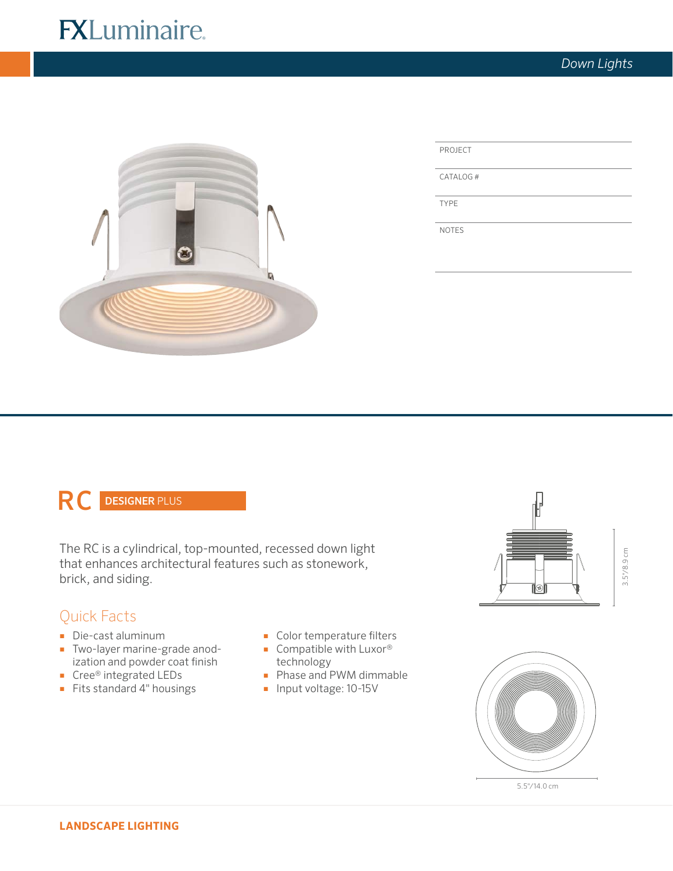# **FXLuminaire.**



CATALOG #

TYPE

NOTES

# RC DESIGNER PLUS

The RC is a cylindrical, top-mounted, recessed down light that enhances architectural features such as stonework, brick, and siding.

## Quick Facts

- Die-cast aluminum
- Two-layer marine-grade anodization and powder coat finish
- Cree® integrated LEDs
- Fits standard 4" housings
- Color temperature filters
- Compatible with Luxor<sup>®</sup> technology
- Phase and PWM dimmable
- Input voltage: 10-15V







5.5"/14.0 cm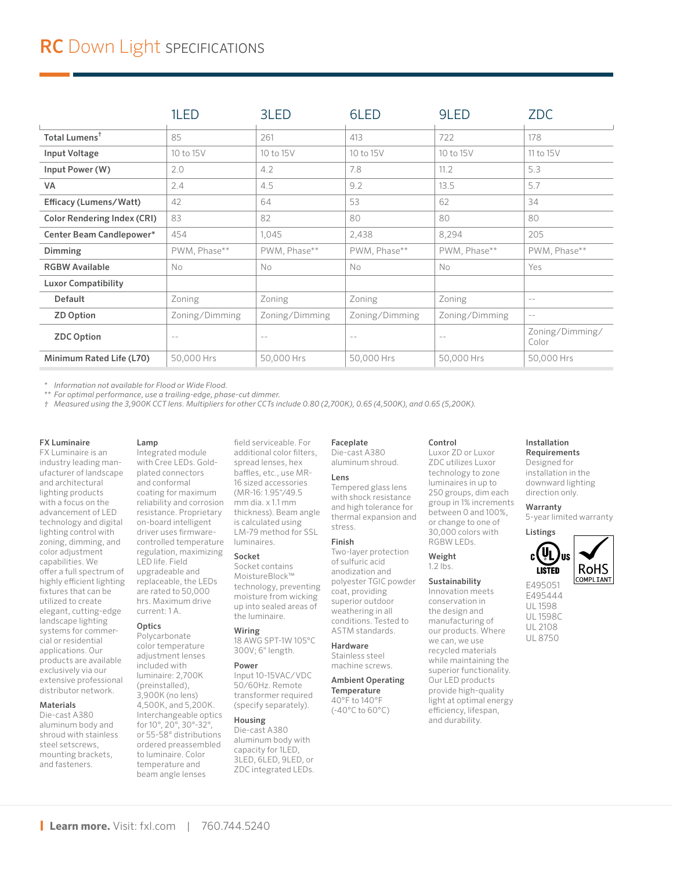|                                    | 1LED              | 3LED           | 6LED           | 9LED           | <b>ZDC</b>               |
|------------------------------------|-------------------|----------------|----------------|----------------|--------------------------|
| Total Lumens <sup>†</sup>          | 85                | 261            | 413            | 722            | 178                      |
| Input Voltage                      | 10 to 15V         | 10 to 15V      | 10 to 15V      | 10 to 15V      | 11 to 15V                |
| Input Power (W)                    | 2.0               | 4.2            | 7.8            | 11.2           | 5.3                      |
| VA                                 | 2.4               | 4.5            | 9.2            | 13.5           | 5.7                      |
| Efficacy (Lumens/Watt)             | 42                | 64             | 53             | 62             | 34                       |
| <b>Color Rendering Index (CRI)</b> | 83                | 82             | 80             | 80             | 80                       |
| Center Beam Candlepower*           | 454               | 1,045          | 2,438          | 8,294          | 205                      |
| Dimming                            | PWM, Phase**      | PWM, Phase**   | PWM, Phase**   | PWM, Phase**   | PWM, Phase**             |
| <b>RGBW Available</b>              | No                | No             | No             | No.            | Yes                      |
| <b>Luxor Compatibility</b>         |                   |                |                |                |                          |
| Default                            | Zoning            | Zoning         | Zoning         | Zoning         | $- -$                    |
| <b>ZD Option</b>                   | Zoning/Dimming    | Zoning/Dimming | Zoning/Dimming | Zoning/Dimming | $ -$                     |
| <b>ZDC Option</b>                  | $\qquad \qquad -$ | $-$            | $-$            | $- -$          | Zoning/Dimming/<br>Color |
| Minimum Rated Life (L70)           | 50,000 Hrs        | 50,000 Hrs     | 50,000 Hrs     | 50,000 Hrs     | 50,000 Hrs               |

*\* Information not available for Flood or Wide Flood.*

*\*\* For optimal performance, use a trailing-edge, phase-cut dimmer.*

*† Measured using the 3,900K CCT lens. Multipliers for other CCTs include 0.80 (2,700K), 0.65 (4,500K), and 0.65 (5,200K).*

### FX Luminaire

FX Luminaire is an industry leading manufacturer of landscape and architectural lighting products with a focus on the advancement of LED technology and digital lighting control with zoning, dimming, and color adjustment capabilities. We offer a full spectrum of highly efficient lighting fixtures that can be utilized to create elegant, cutting-edge landscape lighting systems for commercial or residential applications. Our products are available exclusively via our extensive professional distributor network.

### Materials

Die-cast A380 aluminum body and shroud with stainless steel setscrews, mounting brackets, and fasteners.

# Lamp

Integrated module with Cree LEDs. Goldplated connectors and conformal coating for maximum reliability and corrosion resistance. Proprietary on-board intelligent driver uses firmwarecontrolled temperature regulation, maximizing LED life. Field upgradeable and replaceable, the LEDs are rated to 50,000 hrs. Maximum drive current: 1 A.

### **Optics**

Polycarbonate color temperature adjustment lenses included with luminaire: 2,700K (preinstalled), 3,900K (no lens) 4,500K, and 5,200K. Interchangeable optics for 10°, 20°, 30°-32°, or 55-58° distributions ordered preassembled to luminaire. Color temperature and beam angle lenses

field serviceable. For additional color filters, spread lenses, hex baffles, etc., use MR-16 sized accessories (MR-16: 1.95"/49.5 mm dia. x 1.1 mm thickness). Beam angle is calculated using LM-79 method for SSL luminaires.

### Socket

Socket contains MoistureBlock™ technology, preventing moisture from wicking up into sealed areas of the luminaire.

### Wiring

18 AWG SPT-1W 105°C 300V; 6" length.

### Power

Input 10-15VAC/VDC 50/60Hz. Remote transformer required (specify separately).

### Housing

Die-cast A380 aluminum body with capacity for 1LED, 3LED, 6LED, 9LED, or ZDC integrated LEDs.

### Faceplate

Die-cast A380 aluminum shroud.

### Lens

Tempered glass lens with shock resistance and high tolerance for thermal expansion and stress.

### Finish

Two-layer protection of sulfuric acid anodization and polyester TGIC powder coat, providing superior outdoor weathering in all conditions. Tested to ASTM standards. Hardware

machine screws.

40°F to 140°F (-40°C to 60°C)

### the design and manufacturing of our products. Where we can, we use

Stainless steel

### Ambient Operating

**Temperature** 

### recycled materials while maintaining the superior functionality. Our LED products

provide high-quality light at optimal energy efficiency, lifespan, and durability.

Control Luxor ZD or Luxor ZDC utilizes Luxor technology to zone luminaires in up to 250 groups, dim each group in 1% increments between 0 and 100%, or change to one of 30,000 colors with RGBW LEDs. Weight 1.2 lbs. Sustainability Innovation meets conservation in

Requirements Designed for installation in the downward lighting

Installation

### Warranty

direction only.

5-year limited warranty



E495051 E495444 UL 1598 UL 1598C UL 2108 UL 8750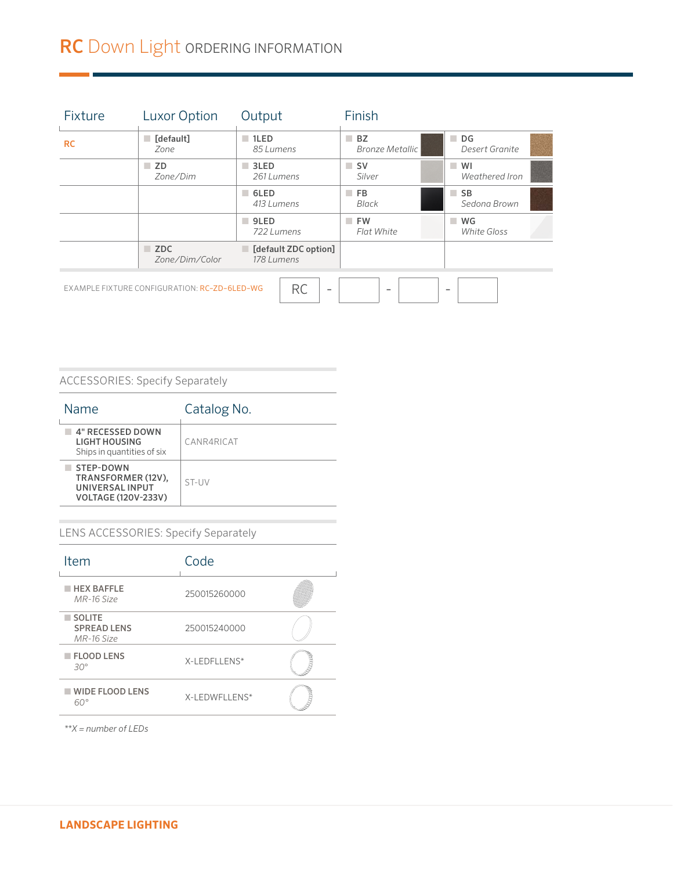# RC Down Light ORDERING INFORMATION

| Fixture   | <b>Luxor Option</b>                          | Output                                | Finish                       |                                      |
|-----------|----------------------------------------------|---------------------------------------|------------------------------|--------------------------------------|
| <b>RC</b> | $\Box$ [default]<br>Zone                     | $\blacksquare$ 1LED<br>85 Lumens      | BZ<br><b>Bronze Metallic</b> | $\Box$ DG<br>Desert Granite          |
|           | $\blacksquare$ ZD<br>Zone/Dim                | $\blacksquare$ 3LED<br>261 Lumens     | $\Box$ SV<br>Silver          | m.<br>WI<br>Weathered Iron           |
|           |                                              | 6LED<br>413 Lumens                    | F <sub>B</sub><br>Black      | $\blacksquare$ SB<br>Sedona Brown    |
|           |                                              | $\blacksquare$ 9LED<br>722 Lumens     | <b>FW</b><br>Flat White      | WG<br><b>I</b><br><b>White Gloss</b> |
|           | $\blacksquare$ ZDC<br>Zone/Dim/Color         | [default ZDC option]<br>178 Lumens    |                              |                                      |
|           | EXAMPLE FIXTURE CONFIGURATION: RC-ZD-6LED-WG | <b>RC</b><br>$\overline{\phantom{a}}$ | $\sim$                       | $\overline{\phantom{a}}$             |

### ACCESSORIES: Specify Separately

| Name                                                                                    | Catalog No. |
|-----------------------------------------------------------------------------------------|-------------|
| 4" RECESSED DOWN<br>LIGHT HOUSING<br>Ships in quantities of six                         | CANR4RICAT  |
| STEP-DOWN<br>TRANSFORMER (12V),<br><b>UNIVERSAL INPUT</b><br><b>VOLTAGE (120V-233V)</b> | ST-UV       |

### LENS ACCESSORIES: Specify Separately

| Item                                       | Code          |  |
|--------------------------------------------|---------------|--|
| <b>HEX BAFFLE</b><br>MR-16 Size            | 250015260000  |  |
| SOLITE<br><b>SPREAD LENS</b><br>MR-16 Size | 250015240000  |  |
| <b>FLOOD LENS</b><br>$30^\circ$            | X-LEDFLLENS*  |  |
| <b>WIDE FLOOD LENS</b><br>ണം               | X-LEDWFLLENS* |  |

*\*\*X = number of LEDs*